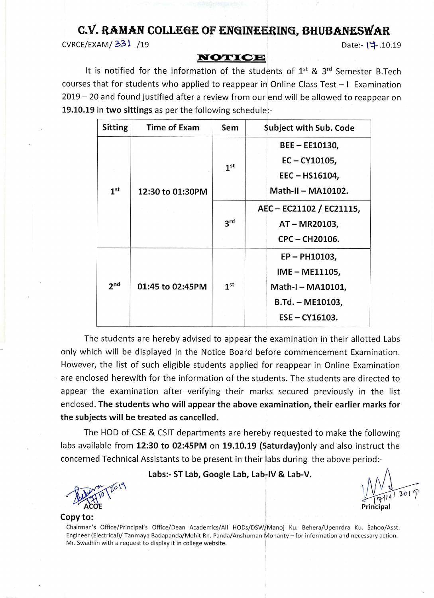# C.V. RAMAN COLLEGE OF ENGINEERING, BHUBANESWAR

CVRCE/EXAM/331 /19

Date:- | : 10.19

## NOTICE

It is notified for the information of the students of  $1^{st}$  &  $3^{rd}$  Semester B.Tech courses that for students who applied to reappear in Online Class Test - I Examination 2019 – 20 and found justified after a review from our end will be allowed to reappear on 19.10.19 in two sittings as per the following schedule:-

| <b>Sitting</b>  | <b>Time of Exam</b> | Sem             | <b>Subject with Sub. Code</b>      |  |  |
|-----------------|---------------------|-----------------|------------------------------------|--|--|
|                 |                     |                 | BEE - EE10130,                     |  |  |
|                 | 12:30 to 01:30PM    | 1 <sup>st</sup> | $EC - CY10105,$                    |  |  |
|                 |                     |                 | EEC-HS16104,<br>Math-II - MA10102. |  |  |
| 1 <sup>st</sup> |                     |                 |                                    |  |  |
|                 |                     | 3 <sup>rd</sup> | AEC - EC21102 / EC21115,           |  |  |
|                 |                     |                 | AT-MR20103,                        |  |  |
|                 |                     |                 | CPC-CH20106.                       |  |  |
|                 |                     |                 | EP-PH10103,                        |  |  |
|                 |                     | IME - ME11105,  |                                    |  |  |
| 2 <sub>nd</sub> | 01:45 to 02:45PM    | 1 <sup>st</sup> | Math-I - MA10101,                  |  |  |
|                 |                     |                 | $B.Td. - ME10103,$                 |  |  |
|                 |                     |                 | $ESE - CY16103.$                   |  |  |

The students are hereby advised to appear the examination in their allotted Labs only which will be displayed in the Notice Board before commencement Examination. However, the list of such eligible students applied for reappear in Online Examination are enclosed herewith for the information of the students. The students are directed to appear the examination after verifying their marks secured previously in the list enclosed. The students who will appear the above examination, their earlier marks for the subjects will be treated as cancelled.

The HOD of CSE & CSIT departments are hereby requested to make the following labs available from 12:30 to 02:45PM on 19.10.19 (Saturday) only and also instruct the concerned Technical Assistants to be present in their labs during the above period:-

Labs:- ST Lab, Google Lab, Lab-IV & Lab-V.

#### Copy to:

Chairman's Office/Principal's Office/Dean Academics/All HODs/DSW/Manoj Ku. Behera/Upenrdra Ku. Sahoo/Asst. Engineer (Electrical)/ Tanmaya Badapanda/Mohit Rn. Panda/Anshuman Mohanty - for information and necessary action. Mr. Swadhin with a request to display it in college website.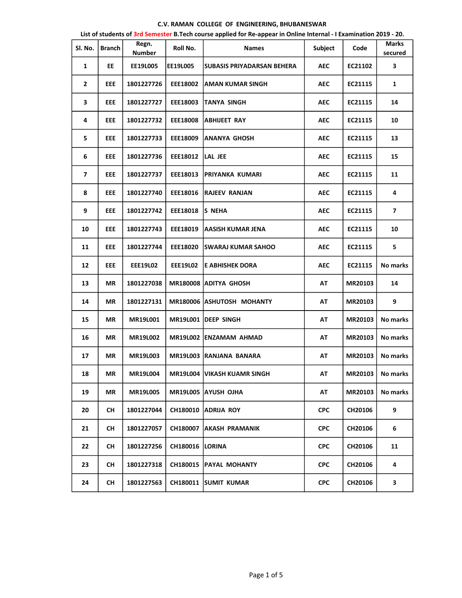### C.V. RAMAN COLLEGE OF ENGINEERING, BHUBANESWAR

| Sl. No.        | <b>Branch</b> | Regn.<br><b>Number</b> | Roll No.          | <b>Names</b>                      | Subject    | Code           | Marks<br>secured   |
|----------------|---------------|------------------------|-------------------|-----------------------------------|------------|----------------|--------------------|
| $\mathbf{1}$   | EE            | EE19L005               | <b>EE19L005</b>   | <b>SUBASIS PRIYADARSAN BEHERA</b> | <b>AEC</b> | EC21102        | 3                  |
| $\overline{2}$ | <b>EEE</b>    | 1801227726             | <b>EEE18002</b>   | <b>JAMAN KUMAR SINGH</b>          | <b>AEC</b> | EC21115        | 1                  |
| 3              | <b>EEE</b>    | 1801227727             | EEE18003          | <b>TANYA SINGH</b>                | <b>AEC</b> | EC21115        | 14                 |
| 4              | <b>EEE</b>    | 1801227732             | <b>EEE18008</b>   | <b>ABHIJEET RAY</b>               | <b>AEC</b> | EC21115        | 10                 |
| 5              | <b>EEE</b>    | 1801227733             | EEE18009          | <b>ANANYA GHOSH</b>               | <b>AEC</b> | EC21115        | 13                 |
| 6              | <b>EEE</b>    | 1801227736             | EEE18012  LAL JEE |                                   | <b>AEC</b> | EC21115        | 15                 |
| $\overline{ }$ | <b>EEE</b>    | 1801227737             |                   | EEE18013 PRIYANKA KUMARI          | <b>AEC</b> | EC21115        | 11                 |
| 8              | <b>EEE</b>    | 1801227740             |                   | EEE18016 RAJEEV RANJAN            | <b>AEC</b> | EC21115        | 4                  |
| 9              | <b>EEE</b>    | 1801227742             | EEE18018          | <b>S NEHA</b>                     | <b>AEC</b> | EC21115        | $\overline{7}$     |
| 10             | <b>EEE</b>    | 1801227743             | EEE18019          | <b>AASISH KUMAR JENA</b>          | <b>AEC</b> | EC21115        | 10                 |
| 11             | <b>EEE</b>    | 1801227744             | EEE18020          | <b>ISWARAJ KUMAR SAHOO</b>        | <b>AEC</b> | EC21115        | 5                  |
| 12             | <b>EEE</b>    | <b>EEE19L02</b>        |                   | EEE19L02 E ABHISHEK DORA          | <b>AEC</b> | EC21115        | No marks           |
| 13             | <b>MR</b>     | 1801227038             |                   | MR180008 ADITYA GHOSH             | <b>AT</b>  | MR20103        | 14                 |
| 14             | <b>MR</b>     | 1801227131             |                   | MR180006 ASHUTOSH MOHANTY         | <b>AT</b>  | MR20103        | 9                  |
| 15             | <b>MR</b>     | <b>MR19L001</b>        |                   | MR19L001 DEEP SINGH               | AT         | <b>MR20103</b> | No marks           |
| 16             | <b>MR</b>     | <b>MR19L002</b>        |                   | MR19L002 ENZAMAM AHMAD            | AT         | MR20103        | No marks           |
| 17             | <b>MR</b>     | <b>MR19L003</b>        |                   | MR19L003 RANJANA BANARA           | AT         | MR20103        | No marks           |
| 18             | MR            | MR19L004               |                   | MR19L004 VIKASH KUAMR SINGH       | AT         |                | MR20103   No marks |
| 19             | MR            | MR19L005               |                   | MR19L005 AYUSH OJHA               | AT         | <b>MR20103</b> | No marks           |
| 20             | <b>CH</b>     | 1801227044             |                   | CH180010 ADRIJA ROY               | <b>CPC</b> | CH20106        | 9                  |
| 21             | <b>CH</b>     | 1801227057             |                   | CH180007 AKASH PRAMANIK           | <b>CPC</b> | CH20106        | 6                  |
| 22             | <b>CH</b>     | 1801227256             | CH180016 LORINA   |                                   | <b>CPC</b> | CH20106        | 11                 |
| 23             | <b>CH</b>     | 1801227318             |                   | CH180015   PAYAL MOHANTY          | <b>CPC</b> | CH20106        | 4                  |
| 24             | <b>CH</b>     | 1801227563             |                   | CH180011 SUMIT KUMAR              | <b>CPC</b> | CH20106        | 3                  |

List of students of 3rd Semester B.Tech course applied for Re-appear in Online Internal - I Examination 2019 - 20.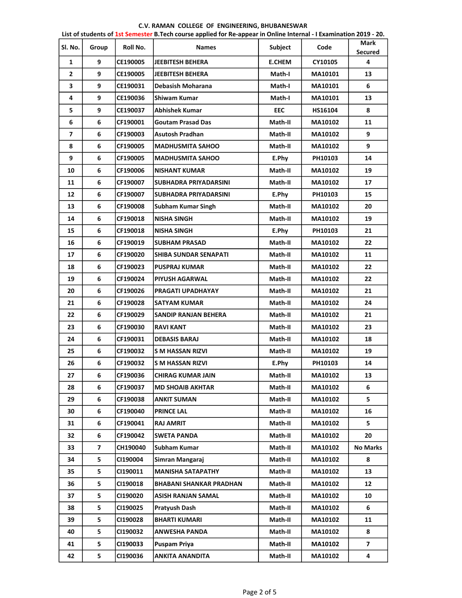# C.V. RAMAN COLLEGE OF ENGINEERING, BHUBANESWAR

|              | List of students of 1st Semester B.Tech course applied for Re-appear in Online Internal - I Examination 2019 - 20. |                 |                                |               |                |                               |  |
|--------------|--------------------------------------------------------------------------------------------------------------------|-----------------|--------------------------------|---------------|----------------|-------------------------------|--|
| Sl. No.      | Group                                                                                                              | Roll No.        | <b>Names</b>                   | Subject       | Code           | <b>Mark</b><br><b>Secured</b> |  |
| 1            | 9                                                                                                                  | CE190005        | <b>JEEBITESH BEHERA</b>        | <b>E.CHEM</b> | CY10105        | 4                             |  |
| $\mathbf{2}$ | 9                                                                                                                  | CE190005        | <b>JEEBITESH BEHERA</b>        | Math-I        | MA10101        | 13                            |  |
| 3            | 9                                                                                                                  | CE190031        | <b>Debasish Moharana</b>       | Math-I        | MA10101        | 6                             |  |
| 4            | 9                                                                                                                  | <b>CE190036</b> | <b>Shiwam Kumar</b>            | Math-I        | MA10101        | 13                            |  |
| 5            | 9                                                                                                                  | CE190037        | <b>Abhishek Kumar</b>          | <b>EEC</b>    | HS16104        | 8                             |  |
| 6            | 6                                                                                                                  | CF190001        | <b>Goutam Prasad Das</b>       | Math-II       | MA10102        | 11                            |  |
| 7            | 6                                                                                                                  | CF190003        | <b>Asutosh Pradhan</b>         | Math-II       | MA10102        | 9                             |  |
| 8            | 6                                                                                                                  | CF190005        | <b>MADHUSMITA SAHOO</b>        | Math-II       | MA10102        | 9                             |  |
| 9            | 6                                                                                                                  | CF190005        | <b>MADHUSMITA SAHOO</b>        | E.Phy         | PH10103        | 14                            |  |
| 10           | 6                                                                                                                  | CF190006        | <b>NISHANT KUMAR</b>           | Math-II       | MA10102        | 19                            |  |
| 11           | 6                                                                                                                  | CF190007        | <b>SUBHADRA PRIYADARSINI</b>   | Math-II       | MA10102        | 17                            |  |
| 12           | 6                                                                                                                  | CF190007        | SUBHADRA PRIYADARSINI          | E.Phy         | PH10103        | 15                            |  |
| 13           | 6                                                                                                                  | CF190008        | <b>Subham Kumar Singh</b>      | Math-II       | MA10102        | 20                            |  |
| 14           | 6                                                                                                                  | CF190018        | <b>NISHA SINGH</b>             | Math-II       | MA10102        | 19                            |  |
| 15           | 6                                                                                                                  | CF190018        | <b>NISHA SINGH</b>             | E.Phy         | PH10103        | 21                            |  |
| 16           | 6                                                                                                                  | CF190019        | <b>SUBHAM PRASAD</b>           | Math-II       | MA10102        | 22                            |  |
| 17           | 6                                                                                                                  | CF190020        | SHIBA SUNDAR SENAPATI          | Math-II       | MA10102        | 11                            |  |
| 18           | 6                                                                                                                  | CF190023        | <b>PUSPRAJ KUMAR</b>           | Math-II       | MA10102        | 22                            |  |
| 19           | 6                                                                                                                  | CF190024        | <b>PIYUSH AGARWAL</b>          | Math-II       | MA10102        | 22                            |  |
| 20           | 6                                                                                                                  | CF190026        | <b>PRAGATI UPADHAYAY</b>       | Math-II       | MA10102        | 21                            |  |
| 21           | 6                                                                                                                  | CF190028        | <b>SATYAM KUMAR</b>            | Math-II       | <b>MA10102</b> | 24                            |  |
| 22           | 6                                                                                                                  | CF190029        | SANDIP RANJAN BEHERA           | Math-II       | MA10102        | 21                            |  |
| 23           | 6                                                                                                                  | CF190030        | <b>RAVI KANT</b>               | Math-II       | MA10102        | 23                            |  |
| 24           | 6                                                                                                                  | CF190031        | <b>DEBASIS BARAJ</b>           | Math-II       | MA10102        | 18                            |  |
| 25           | 6                                                                                                                  | CF190032        | S M HASSAN RIZVI               | Math-II       | MA10102        | 19                            |  |
| 26           | 6                                                                                                                  | CF190032        | S M HASSAN RIZVI               | E.Phy         | PH10103        | 14                            |  |
| 27           | 6                                                                                                                  | CF190036        | <b>CHIRAG KUMAR JAIN</b>       | Math-II       | MA10102        | 13                            |  |
| 28           | 6                                                                                                                  | CF190037        | <b>MD SHOAIB AKHTAR</b>        | Math-II       | MA10102        | 6                             |  |
| 29           | 6                                                                                                                  | CF190038        | <b>ANKIT SUMAN</b>             | Math-II       | MA10102        | 5                             |  |
| 30           | 6                                                                                                                  | CF190040        | <b>PRINCE LAL</b>              | Math-II       | MA10102        | 16                            |  |
| 31           | 6                                                                                                                  | CF190041        | <b>RAJ AMRIT</b>               | Math-II       | MA10102        | 5.                            |  |
| 32           | 6                                                                                                                  | CF190042        | <b>SWETA PANDA</b>             | Math-II       | MA10102        | 20                            |  |
| 33           | $\overline{\mathbf{z}}$                                                                                            | CH190040        | Subham Kumar                   | Math-II       | MA10102        | <b>No Marks</b>               |  |
| 34           | 5                                                                                                                  | CI190004        | Simran Mangaraj                | Math-II       | MA10102        | 8                             |  |
| 35           | 5                                                                                                                  | CI190011        | <b>MANISHA SATAPATHY</b>       | Math-II       | MA10102        | 13                            |  |
| 36           | 5                                                                                                                  | CI190018        | <b>BHABANI SHANKAR PRADHAN</b> | Math-II       | MA10102        | 12                            |  |
| 37           | 5                                                                                                                  | CI190020        | ASISH RANJAN SAMAL             | Math-II       | MA10102        | 10                            |  |
| 38           | 5                                                                                                                  | CI190025        | Pratyush Dash                  | Math-II       | MA10102        | 6                             |  |
| 39           | 5                                                                                                                  | CI190028        | <b>BHARTI KUMARI</b>           | Math-II       | MA10102        | 11                            |  |
| 40           | 5                                                                                                                  | CI190032        | <b>ANWESHA PANDA</b>           | Math-II       | MA10102        | 8                             |  |
| 41           | 5                                                                                                                  | CI190033        | <b>Puspam Priya</b>            | Math-II       | MA10102        | $\overline{\mathbf{z}}$       |  |
| 42           | 5                                                                                                                  | CI190036        | ANKITA ANANDITA                | Math-II       | MA10102        | 4                             |  |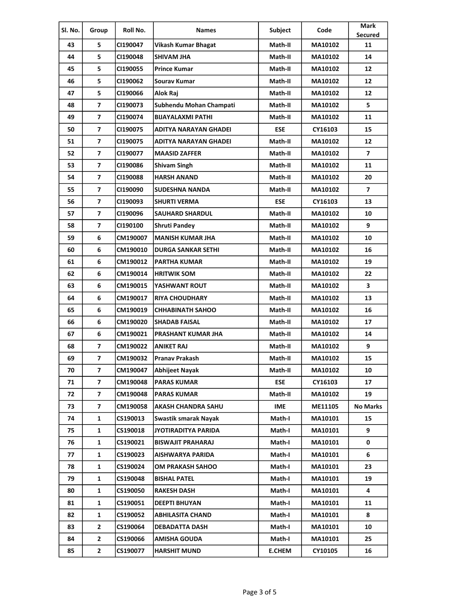| SI. No. | Group                   | Roll No. | <b>Names</b>               | Subject       | Code    | <b>Mark</b>     |
|---------|-------------------------|----------|----------------------------|---------------|---------|-----------------|
| 43      | 5                       | CI190047 |                            | Math-II       | MA10102 | Secured<br>11   |
| 44      | 5                       |          | <b>Vikash Kumar Bhagat</b> |               |         | 14              |
|         |                         | CI190048 | SHIVAM JHA                 | Math-II       | MA10102 |                 |
| 45      | 5                       | CI190055 | <b>Prince Kumar</b>        | Math-II       | MA10102 | 12              |
| 46      | 5                       | CI190062 | Sourav Kumar               | Math-II       | MA10102 | 12              |
| 47      | 5                       | CI190066 | Alok Raj                   | Math-II       | MA10102 | 12              |
| 48      | $\overline{7}$          | CI190073 | Subhendu Mohan Champati    | Math-II       | MA10102 | 5               |
| 49      | $\overline{7}$          | CI190074 | <b>BIJAYALAXMI PATHI</b>   | Math-II       | MA10102 | 11              |
| 50      | $\overline{7}$          | CI190075 | ADITYA NARAYAN GHADEI      | <b>ESE</b>    | CY16103 | 15              |
| 51      | $\overline{\mathbf{z}}$ | CI190075 | ADITYA NARAYAN GHADEI      | Math-II       | MA10102 | 12              |
| 52      | $\overline{7}$          | CI190077 | <b>MAASID ZAFFER</b>       | Math-II       | MA10102 | $\overline{ }$  |
| 53      | $\overline{7}$          | CI190086 | <b>Shivam Singh</b>        | Math-II       | MA10102 | 11              |
| 54      | $\overline{\mathbf{z}}$ | CI190088 | <b>HARSH ANAND</b>         | Math-II       | MA10102 | 20              |
| 55      | $\overline{ }$          | CI190090 | SUDESHNA NANDA             | Math-II       | MA10102 | $\overline{ }$  |
| 56      | $\overline{7}$          | CI190093 | <b>SHURTI VERMA</b>        | <b>ESE</b>    | CY16103 | 13              |
| 57      | $\overline{\mathbf{z}}$ | CI190096 | <b>SAUHARD SHARDUL</b>     | Math-II       | MA10102 | 10              |
| 58      | $\overline{7}$          | CI190100 | <b>Shruti Pandey</b>       | Math-II       | MA10102 | 9               |
| 59      | 6                       | CM190007 | <b>MANISH KUMAR JHA</b>    | Math-II       | MA10102 | 10              |
| 60      | 6                       | CM190010 | <b>DURGA SANKAR SETHI</b>  | Math-II       | MA10102 | 16              |
| 61      | 6                       | CM190012 | <b>PARTHA KUMAR</b>        | Math-II       | MA10102 | 19              |
| 62      | 6                       | CM190014 | <b>HRITWIK SOM</b>         | Math-II       | MA10102 | 22              |
| 63      | 6                       | CM190015 | YASHWANT ROUT              | Math-II       | MA10102 | 3               |
| 64      | 6                       | CM190017 | <b>RIYA CHOUDHARY</b>      | Math-II       | MA10102 | 13              |
| 65      | 6                       | CM190019 | <b>CHHABINATH SAHOO</b>    | Math-II       | MA10102 | 16              |
| 66      | 6                       | CM190020 | <b>SHADAB FAISAL</b>       | Math-II       | MA10102 | 17              |
| 67      | 6                       | CM190021 | <b>PRASHANT KUMAR JHA</b>  | Math-II       | MA10102 | 14              |
| 68      | $\overline{7}$          | CM190022 | <b>ANIKET RAJ</b>          | Math-II       | MA10102 | 9               |
| 69      | $\overline{ }$          | CM190032 | Pranav Prakash             | Math-II       | MA10102 | 15              |
| 70      | $\overline{ }$          | CM190047 | Abhijeet Nayak             | Math-II       | MA10102 | 10              |
| 71      | $\overline{7}$          | CM190048 | <b>PARAS KUMAR</b>         | <b>ESE</b>    | CY16103 | 17              |
| 72      | 7                       | CM190048 | <b>PARAS KUMAR</b>         | Math-II       | MA10102 | 19              |
| 73      | 7                       | CM190058 | <b>AKASH CHANDRA SAHU</b>  | <b>IME</b>    | ME11105 | <b>No Marks</b> |
| 74      | 1                       | CS190013 | Swastik smarak Nayak       | Math-I        | MA10101 | 15              |
| 75      | $\mathbf{1}$            | CS190018 | <b>JYOTIRADITYA PARIDA</b> | Math-I        | MA10101 | 9               |
| 76      | 1                       | CS190021 | <b>BISWAJIT PRAHARAJ</b>   | Math-I        | MA10101 | 0               |
| 77      | 1                       | CS190023 | AISHWARYA PARIDA           | Math-I        | MA10101 | 6               |
| 78      | $\mathbf{1}$            | CS190024 | OM PRAKASH SAHOO           | Math-I        | MA10101 | 23              |
| 79      | 1                       | CS190048 | <b>BISHAL PATEL</b>        | Math-I        | MA10101 | 19              |
| 80      | 1                       | CS190050 | <b>RAKESH DASH</b>         | Math-I        | MA10101 | 4               |
| 81      | $\mathbf{1}$            | CS190051 | DEEPTI BHUYAN              | Math-I        | MA10101 | 11              |
| 82      | 1                       | CS190052 | <b>ABHILASITA CHAND</b>    | Math-I        | MA10101 | 8               |
| 83      | $\mathbf{2}$            | CS190064 | <b>DEBADATTA DASH</b>      | Math-I        | MA10101 | 10              |
| 84      | $\mathbf{2}$            | CS190066 | <b>AMISHA GOUDA</b>        | Math-I        | MA10101 | 25              |
| 85      | $\mathbf{2}$            | CS190077 | <b>HARSHIT MUND</b>        | <b>E.CHEM</b> | CY10105 | 16              |
|         |                         |          |                            |               |         |                 |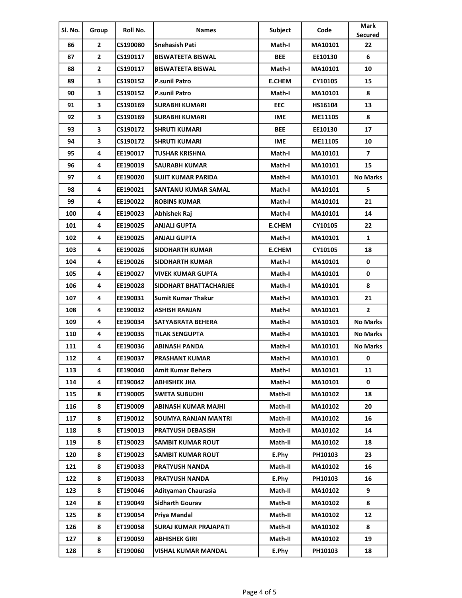| SI. No. | Group                   | Roll No.        | <b>Names</b>                 | Subject       | Code           | <b>Mark</b>     |
|---------|-------------------------|-----------------|------------------------------|---------------|----------------|-----------------|
|         |                         | CS190080        |                              |               |                | <b>Secured</b>  |
| 86      | 2                       |                 | Snehasish Pati               | Math-I        | MA10101        | 22              |
| 87      | $\overline{2}$          | CS190117        | <b>BISWATEETA BISWAL</b>     | <b>BEE</b>    | EE10130        | 6               |
| 88      | $\overline{2}$          | CS190117        | <b>BISWATEETA BISWAL</b>     | Math-I        | MA10101        | 10              |
| 89      | 3                       | CS190152        | <b>P.sunil Patro</b>         | <b>E.CHEM</b> | CY10105        | 15              |
| 90      | 3                       | CS190152        | <b>P.sunil Patro</b>         | Math-I        | MA10101        | 8               |
| 91      | 3                       | CS190169        | <b>SURABHI KUMARI</b>        | <b>EEC</b>    | HS16104        | 13              |
| 92      | 3                       | CS190169        | SURABHI KUMARI               | <b>IME</b>    | <b>ME11105</b> | 8               |
| 93      | $\overline{\mathbf{3}}$ | CS190172        | <b>SHRUTI KUMARI</b>         | <b>BEE</b>    | EE10130        | 17              |
| 94      | 3                       | CS190172        | <b>SHRUTI KUMARI</b>         | <b>IME</b>    | ME11105        | 10              |
| 95      | 4                       | EE190017        | TUSHAR KRISHNA               | Math-I        | MA10101        | $\overline{7}$  |
| 96      | 4                       | EE190019        | <b>SAURABH KUMAR</b>         | Math-I        | MA10101        | 15              |
| 97      | 4                       | EE190020        | <b>SUJIT KUMAR PARIDA</b>    | Math-I        | MA10101        | <b>No Marks</b> |
| 98      | 4                       | EE190021        | SANTANU KUMAR SAMAL          | Math-I        | MA10101        | 5               |
| 99      | 4                       | EE190022        | <b>ROBINS KUMAR</b>          | Math-I        | MA10101        | 21              |
| 100     | 4                       | EE190023        | Abhishek Raj                 | Math-I        | MA10101        | 14              |
| 101     | 4                       | EE190025        | ANJALI GUPTA                 | <b>E.CHEM</b> | CY10105        | 22              |
| 102     | 4                       | EE190025        | <b>ANJALI GUPTA</b>          | Math-I        | MA10101        | $\mathbf{1}$    |
| 103     | 4                       | <b>EE190026</b> | <b>SIDDHARTH KUMAR</b>       | <b>E.CHEM</b> | CY10105        | 18              |
| 104     | 4                       | EE190026        | <b>SIDDHARTH KUMAR</b>       | Math-I        | MA10101        | 0               |
| 105     | 4                       | EE190027        | <b>VIVEK KUMAR GUPTA</b>     | Math-I        | MA10101        | 0               |
| 106     | 4                       | EE190028        | SIDDHART BHATTACHARJEE       | Math-I        | MA10101        | 8               |
| 107     | 4                       | EE190031        | <b>Sumit Kumar Thakur</b>    | Math-I        | MA10101        | 21              |
| 108     | 4                       | EE190032        | <b>ASHISH RANJAN</b>         | Math-I        | MA10101        | $\mathbf{2}$    |
| 109     | 4                       | EE190034        | SATYABRATA BEHERA            | Math-I        | MA10101        | <b>No Marks</b> |
| 110     | 4                       | EE190035        | TILAK SENGUPTA               | Math-I        | MA10101        | <b>No Marks</b> |
| 111     | 4                       | EE190036        | ABINASH PANDA                | Math-I        | MA10101        | <b>No Marks</b> |
| 112     | 4                       | EE190037        | <b>PRASHANT KUMAR</b>        | Math-I        | MA10101        | 0               |
| 113     | 4                       | EE190040        | Amit Kumar Behera            | Math-I        | MA10101        | 11              |
| 114     | 4                       | EE190042        | <b>ABHISHEK JHA</b>          | Math-I        | MA10101        | 0               |
| 115     | 8                       | ET190005        | <b>SWETA SUBUDHI</b>         | Math-II       | MA10102        | 18              |
| 116     | 8                       | ET190009        | ABINASH KUMAR MAJHI          | Math-II       | MA10102        | 20              |
| 117     | 8                       | ET190012        | <b>SOUMYA RANJAN MANTRI</b>  | Math-II       | MA10102        | 16              |
| 118     | 8                       | ET190013        | <b>PRATYUSH DEBASISH</b>     | Math-II       | MA10102        | 14              |
| 119     | 8                       | ET190023        | SAMBIT KUMAR ROUT            | Math-II       | MA10102        | 18              |
| 120     | 8                       | ET190023        | <b>SAMBIT KUMAR ROUT</b>     | E.Phy         | PH10103        | 23              |
| 121     | 8                       | ET190033        | PRATYUSH NANDA               | Math-II       | MA10102        | 16              |
|         |                         |                 |                              |               |                |                 |
| 122     | 8                       | ET190033        | PRATYUSH NANDA               | E.Phy         | PH10103        | 16              |
| 123     | 8                       | ET190046        | Adityaman Chaurasia          | Math-II       | MA10102        | 9               |
| 124     | 8                       | ET190049        | <b>Sidharth Gourav</b>       | Math-II       | MA10102        | 8               |
| 125     | 8                       | ET190054        | Priya Mandal                 | Math-II       | MA10102        | 12              |
| 126     | 8                       | ET190058        | <b>SURAJ KUMAR PRAJAPATI</b> | Math-II       | MA10102        | 8               |
| 127     | 8                       | ET190059        | ABHISHEK GIRI                | Math-II       | MA10102        | 19              |
| 128     | 8                       | ET190060        | <b>VISHAL KUMAR MANDAL</b>   | E.Phy         | PH10103        | 18              |